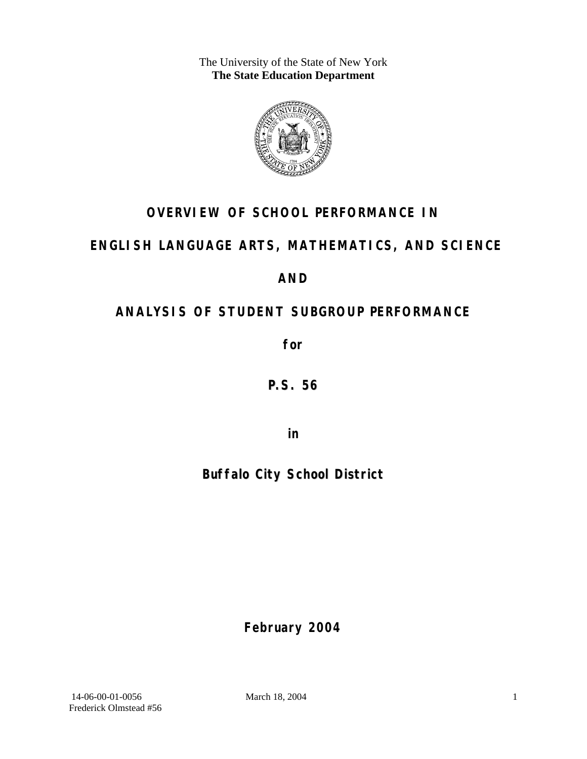The University of the State of New York **The State Education Department** 



# **OVERVIEW OF SCHOOL PERFORMANCE IN**

# **ENGLISH LANGUAGE ARTS, MATHEMATICS, AND SCIENCE**

**AND** 

# **ANALYSIS OF STUDENT SUBGROUP PERFORMANCE**

**for** 

**P.S. 56**

**in** 

# **Buffalo City School District**

**February 2004**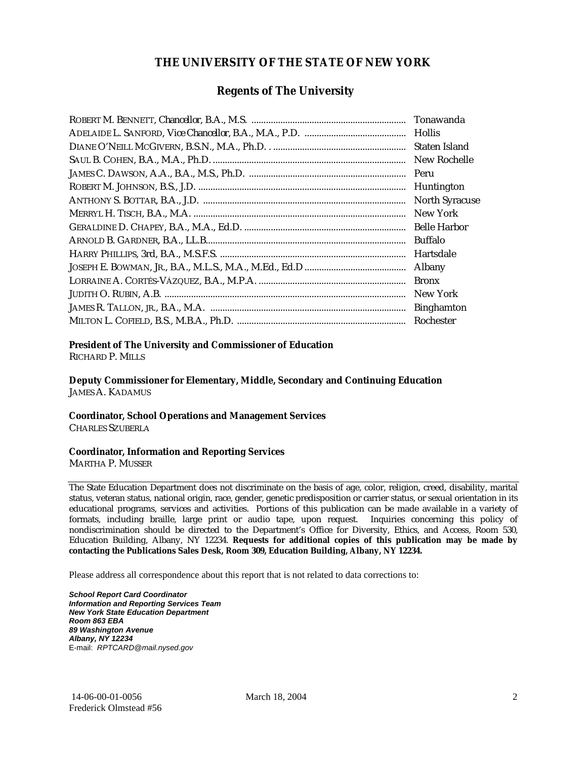### **THE UNIVERSITY OF THE STATE OF NEW YORK**

### **Regents of The University**

| Tonawanda             |
|-----------------------|
| <b>Hollis</b>         |
| Staten Island         |
| New Rochelle          |
| Peru                  |
| Huntington            |
| <b>North Syracuse</b> |
| New York              |
| <b>Belle Harbor</b>   |
| <b>Buffalo</b>        |
| Hartsdale             |
| Albany                |
| <b>Bronx</b>          |
| New York              |
| <b>Binghamton</b>     |
| Rochester             |

#### **President of The University and Commissioner of Education**

RICHARD P. MILLS

**Deputy Commissioner for Elementary, Middle, Secondary and Continuing Education**  JAMES A. KADAMUS

#### **Coordinator, School Operations and Management Services**

CHARLES SZUBERLA

#### **Coordinator, Information and Reporting Services**

MARTHA P. MUSSER

The State Education Department does not discriminate on the basis of age, color, religion, creed, disability, marital status, veteran status, national origin, race, gender, genetic predisposition or carrier status, or sexual orientation in its educational programs, services and activities. Portions of this publication can be made available in a variety of formats, including braille, large print or audio tape, upon request. Inquiries concerning this policy of nondiscrimination should be directed to the Department's Office for Diversity, Ethics, and Access, Room 530, Education Building, Albany, NY 12234. **Requests for additional copies of this publication may be made by contacting the Publications Sales Desk, Room 309, Education Building, Albany, NY 12234.** 

Please address all correspondence about this report that is not related to data corrections to:

*School Report Card Coordinator Information and Reporting Services Team New York State Education Department Room 863 EBA 89 Washington Avenue Albany, NY 12234*  E-mail: *RPTCARD@mail.nysed.gov*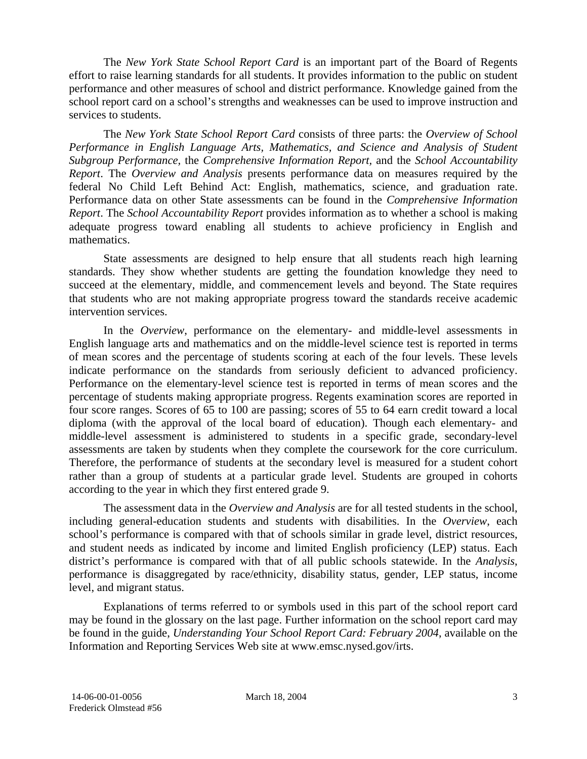The *New York State School Report Card* is an important part of the Board of Regents effort to raise learning standards for all students. It provides information to the public on student performance and other measures of school and district performance. Knowledge gained from the school report card on a school's strengths and weaknesses can be used to improve instruction and services to students.

The *New York State School Report Card* consists of three parts: the *Overview of School Performance in English Language Arts, Mathematics, and Science and Analysis of Student Subgroup Performance,* the *Comprehensive Information Report,* and the *School Accountability Report*. The *Overview and Analysis* presents performance data on measures required by the federal No Child Left Behind Act: English, mathematics, science, and graduation rate. Performance data on other State assessments can be found in the *Comprehensive Information Report*. The *School Accountability Report* provides information as to whether a school is making adequate progress toward enabling all students to achieve proficiency in English and mathematics.

State assessments are designed to help ensure that all students reach high learning standards. They show whether students are getting the foundation knowledge they need to succeed at the elementary, middle, and commencement levels and beyond. The State requires that students who are not making appropriate progress toward the standards receive academic intervention services.

In the *Overview*, performance on the elementary- and middle-level assessments in English language arts and mathematics and on the middle-level science test is reported in terms of mean scores and the percentage of students scoring at each of the four levels. These levels indicate performance on the standards from seriously deficient to advanced proficiency. Performance on the elementary-level science test is reported in terms of mean scores and the percentage of students making appropriate progress. Regents examination scores are reported in four score ranges. Scores of 65 to 100 are passing; scores of 55 to 64 earn credit toward a local diploma (with the approval of the local board of education). Though each elementary- and middle-level assessment is administered to students in a specific grade, secondary-level assessments are taken by students when they complete the coursework for the core curriculum. Therefore, the performance of students at the secondary level is measured for a student cohort rather than a group of students at a particular grade level. Students are grouped in cohorts according to the year in which they first entered grade 9.

The assessment data in the *Overview and Analysis* are for all tested students in the school, including general-education students and students with disabilities. In the *Overview*, each school's performance is compared with that of schools similar in grade level, district resources, and student needs as indicated by income and limited English proficiency (LEP) status. Each district's performance is compared with that of all public schools statewide. In the *Analysis*, performance is disaggregated by race/ethnicity, disability status, gender, LEP status, income level, and migrant status.

Explanations of terms referred to or symbols used in this part of the school report card may be found in the glossary on the last page. Further information on the school report card may be found in the guide, *Understanding Your School Report Card: February 2004*, available on the Information and Reporting Services Web site at www.emsc.nysed.gov/irts.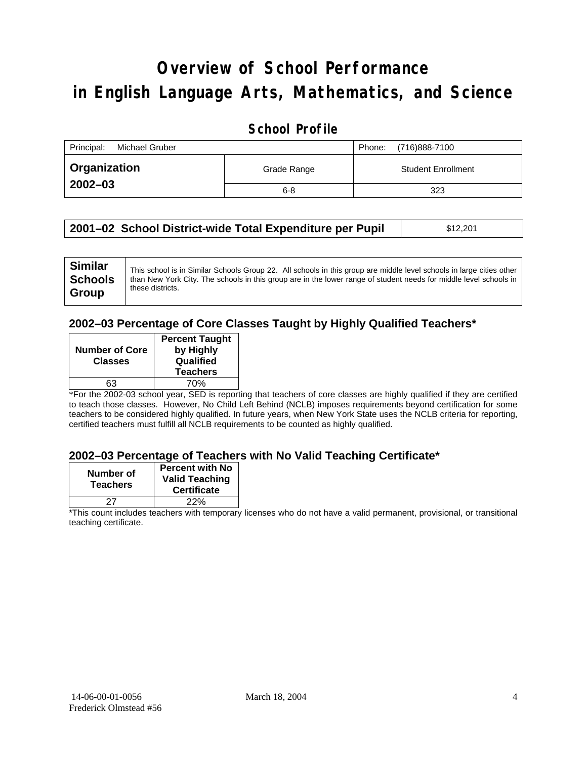# **Overview of School Performance in English Language Arts, Mathematics, and Science**

### **School Profile**

| Principal:<br>Michael Gruber | (716)888-7100<br>Phone: |                           |
|------------------------------|-------------------------|---------------------------|
| <b>Organization</b>          | Grade Range             | <b>Student Enrollment</b> |
| $2002 - 03$                  | $6 - 8$                 | 323                       |

| 2001–02 School District-wide Total Expenditure per Pupil | \$12,201 |
|----------------------------------------------------------|----------|
|----------------------------------------------------------|----------|

| <b>Similar</b><br><b>Schools</b> | This school is in Similar Schools Group 22. All schools in this group are middle level schools in large cities other<br>than New York City. The schools in this group are in the lower range of student needs for middle level schools in<br>these districts. |
|----------------------------------|---------------------------------------------------------------------------------------------------------------------------------------------------------------------------------------------------------------------------------------------------------------|
| Group                            |                                                                                                                                                                                                                                                               |

### **2002–03 Percentage of Core Classes Taught by Highly Qualified Teachers\***

| <b>Number of Core</b><br><b>Classes</b> | <b>Percent Taught</b><br>by Highly<br>Qualified<br><b>Teachers</b> |
|-----------------------------------------|--------------------------------------------------------------------|
| 63                                      | 70%                                                                |

\*For the 2002-03 school year, SED is reporting that teachers of core classes are highly qualified if they are certified to teach those classes. However, No Child Left Behind (NCLB) imposes requirements beyond certification for some teachers to be considered highly qualified. In future years, when New York State uses the NCLB criteria for reporting, certified teachers must fulfill all NCLB requirements to be counted as highly qualified.

#### **2002–03 Percentage of Teachers with No Valid Teaching Certificate\***

| Number of<br><b>Teachers</b> | <b>Percent with No</b><br><b>Valid Teaching</b><br><b>Certificate</b> |
|------------------------------|-----------------------------------------------------------------------|
|                              | 22%                                                                   |

\*This count includes teachers with temporary licenses who do not have a valid permanent, provisional, or transitional teaching certificate.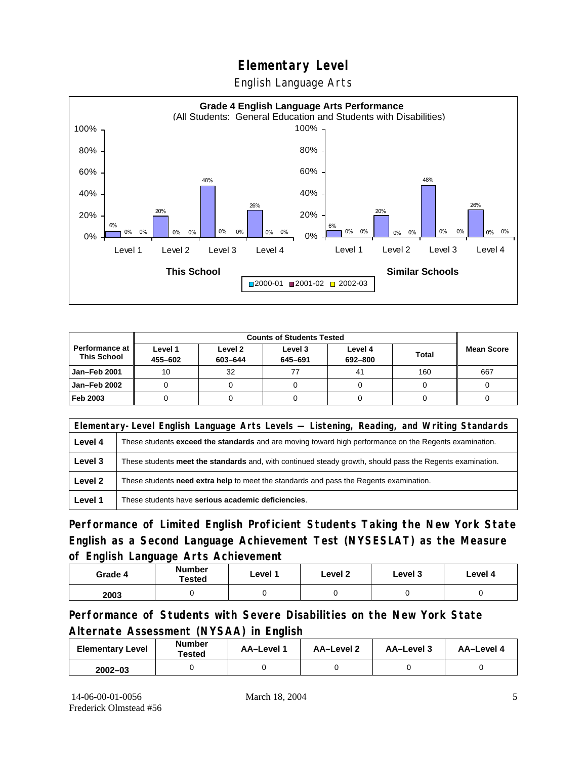# **Elementary Level**

English Language Arts



|                                        |                    | <b>Counts of Students Tested</b> |                    |                    |              |                   |  |
|----------------------------------------|--------------------|----------------------------------|--------------------|--------------------|--------------|-------------------|--|
| Performance at I<br><b>This School</b> | Level 1<br>455-602 | Level 2<br>603-644               | Level 3<br>645-691 | Level 4<br>692-800 | <b>Total</b> | <b>Mean Score</b> |  |
| Jan-Feb 2001                           | 10                 | 32                               |                    | 41                 | 160          | 667               |  |
| Jan-Feb 2002                           |                    |                                  |                    |                    |              |                   |  |
| Feb 2003                               |                    |                                  |                    |                    |              |                   |  |

|         | Elementary-Level English Language Arts Levels — Listening, Reading, and Writing Standards                 |  |  |  |  |
|---------|-----------------------------------------------------------------------------------------------------------|--|--|--|--|
| Level 4 | These students exceed the standards and are moving toward high performance on the Regents examination.    |  |  |  |  |
| Level 3 | These students meet the standards and, with continued steady growth, should pass the Regents examination. |  |  |  |  |
| Level 2 | These students <b>need extra help</b> to meet the standards and pass the Regents examination.             |  |  |  |  |
| Level 1 | These students have serious academic deficiencies.                                                        |  |  |  |  |

**Performance of Limited English Proficient Students Taking the New York State English as a Second Language Achievement Test (NYSESLAT) as the Measure of English Language Arts Achievement**

| Grade 4 | <b>Number</b><br><b>Tested</b> | Level 1 | Level 2 | Level 3 | Level 4 |
|---------|--------------------------------|---------|---------|---------|---------|
| 2003    |                                |         |         |         |         |

**Performance of Students with Severe Disabilities on the New York State Alternate Assessment (NYSAA) in English** 

| <b>Elementary Level</b> | <b>Number</b><br>Tested | AA-Level 1 | AA-Level 2 | AA-Level 3 | AA-Level 4 |
|-------------------------|-------------------------|------------|------------|------------|------------|
| $2002 - 03$             |                         |            |            |            |            |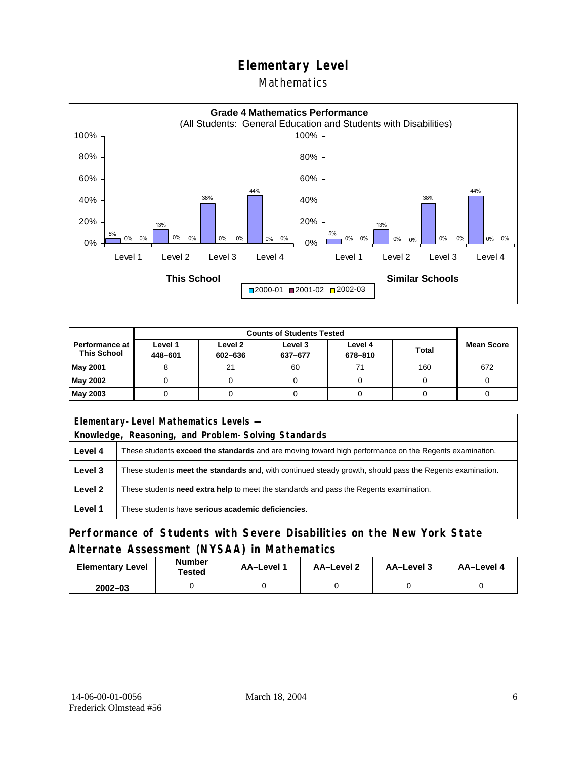# **Elementary Level**

### Mathematics



|                                               |                    | <b>Counts of Students Tested</b> |                    |                    |              |                   |
|-----------------------------------------------|--------------------|----------------------------------|--------------------|--------------------|--------------|-------------------|
| <b>Performance at I</b><br><b>This School</b> | Level 1<br>448-601 | Level 2<br>602-636               | Level 3<br>637-677 | Level 4<br>678-810 | <b>Total</b> | <b>Mean Score</b> |
| May 2001                                      |                    | 21                               | 60                 | 71                 | 160          | 672               |
| May 2002                                      |                    |                                  |                    |                    |              |                   |
| May 2003                                      |                    |                                  |                    |                    |              |                   |

|         | Elementary-Level Mathematics Levels -                                                                     |  |  |  |
|---------|-----------------------------------------------------------------------------------------------------------|--|--|--|
|         | Knowledge, Reasoning, and Problem-Solving Standards                                                       |  |  |  |
| Level 4 | These students exceed the standards and are moving toward high performance on the Regents examination.    |  |  |  |
| Level 3 | These students meet the standards and, with continued steady growth, should pass the Regents examination. |  |  |  |
| Level 2 | These students need extra help to meet the standards and pass the Regents examination.                    |  |  |  |
| Level 1 | These students have serious academic deficiencies.                                                        |  |  |  |

### **Performance of Students with Severe Disabilities on the New York State Alternate Assessment (NYSAA) in Mathematics**

| <b>Elementary Level</b> | <b>Number</b><br>Tested | AA-Level 1 | AA-Level 2 | AA-Level 3 | AA-Level 4 |
|-------------------------|-------------------------|------------|------------|------------|------------|
| $2002 - 03$             |                         |            |            |            |            |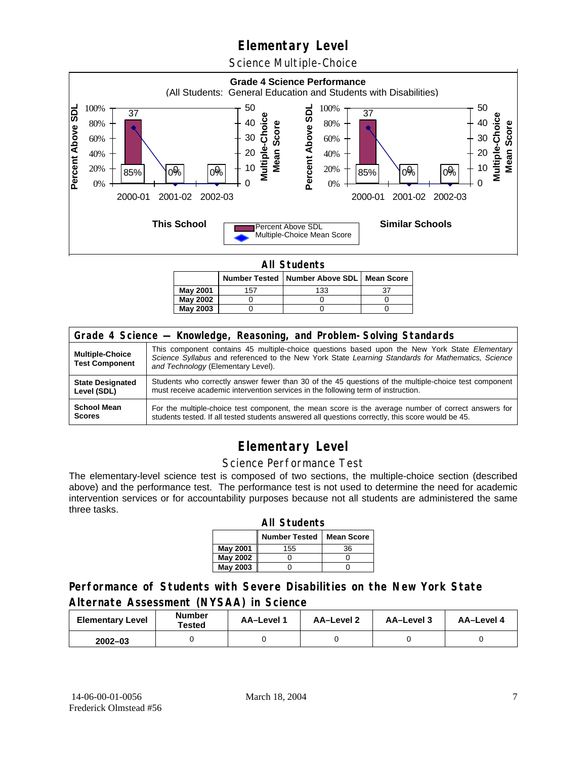# **Elementary Level**

Science Multiple-Choice



**All Students** 

|                 |     | Number Tested   Number Above SDL   Mean Score |  |  |  |  |  |
|-----------------|-----|-----------------------------------------------|--|--|--|--|--|
| <b>May 2001</b> | 157 | 133                                           |  |  |  |  |  |
| May 2002        |     |                                               |  |  |  |  |  |
| May 2003        |     |                                               |  |  |  |  |  |

| Grade 4 Science - Knowledge, Reasoning, and Problem-Solving Standards |                                                                                                                                                                                                                                          |  |  |  |  |
|-----------------------------------------------------------------------|------------------------------------------------------------------------------------------------------------------------------------------------------------------------------------------------------------------------------------------|--|--|--|--|
| <b>Multiple-Choice</b><br><b>Test Component</b>                       | This component contains 45 multiple-choice questions based upon the New York State Elementary<br>Science Syllabus and referenced to the New York State Learning Standards for Mathematics, Science<br>and Technology (Elementary Level). |  |  |  |  |
| <b>State Designated</b>                                               | Students who correctly answer fewer than 30 of the 45 questions of the multiple-choice test component                                                                                                                                    |  |  |  |  |
| Level (SDL)                                                           | must receive academic intervention services in the following term of instruction.                                                                                                                                                        |  |  |  |  |
| <b>School Mean</b>                                                    | For the multiple-choice test component, the mean score is the average number of correct answers for                                                                                                                                      |  |  |  |  |
| <b>Scores</b>                                                         | students tested. If all tested students answered all questions correctly, this score would be 45.                                                                                                                                        |  |  |  |  |

# **Elementary Level**

#### Science Performance Test

The elementary-level science test is composed of two sections, the multiple-choice section (described above) and the performance test. The performance test is not used to determine the need for academic intervention services or for accountability purposes because not all students are administered the same three tasks.

| <b>All Students</b>                       |     |    |  |  |  |  |
|-------------------------------------------|-----|----|--|--|--|--|
| <b>Number Tested</b><br><b>Mean Score</b> |     |    |  |  |  |  |
| May 2001                                  | 155 | 36 |  |  |  |  |
| May 2002                                  |     |    |  |  |  |  |
| <b>May 2003</b>                           |     |    |  |  |  |  |

### **Performance of Students with Severe Disabilities on the New York State Alternate Assessment (NYSAA) in Science**

| <b>Elementary Level</b> | <b>Number</b><br>Tested | AA-Level 1 | <b>AA-Level 2</b> | AA-Level 3 | AA-Level 4 |
|-------------------------|-------------------------|------------|-------------------|------------|------------|
| $2002 - 03$             |                         |            |                   |            |            |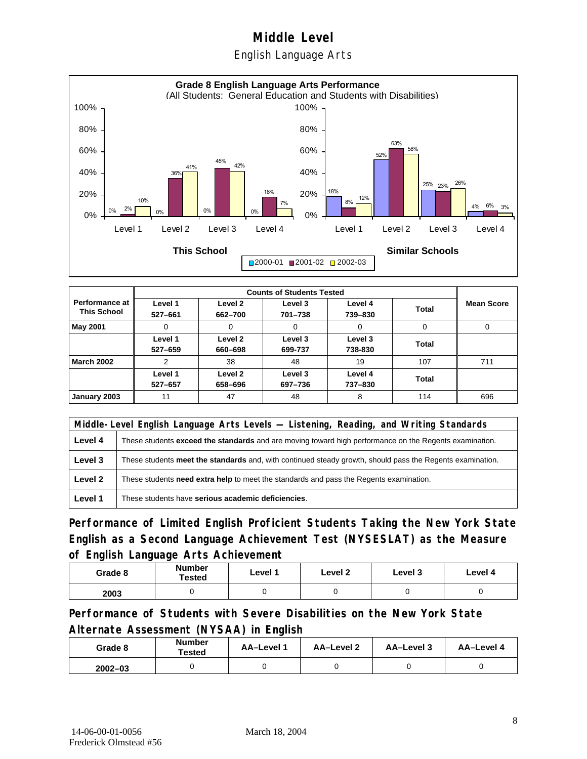English Language Arts



|                                      |                    | <b>Counts of Students Tested</b> |                    |                    |              |                   |  |  |
|--------------------------------------|--------------------|----------------------------------|--------------------|--------------------|--------------|-------------------|--|--|
| Performance at<br><b>This School</b> | Level 1<br>527-661 | Level 2<br>662-700               | Level 3<br>701-738 | Level 4<br>739-830 | <b>Total</b> | <b>Mean Score</b> |  |  |
| May 2001                             | 0                  | 0                                | 0                  | 0                  | 0            | 0                 |  |  |
|                                      | Level 1<br>527-659 | Level 2<br>660-698               | Level 3<br>699-737 | Level 3<br>738-830 | Total        |                   |  |  |
| <b>March 2002</b>                    | 2                  | 38                               | 48                 | 19                 | 107          | 711               |  |  |
|                                      | Level 1<br>527-657 | Level 2<br>658-696               | Level 3<br>697-736 | Level 4<br>737-830 | Total        |                   |  |  |
| January 2003                         | 11                 | 47                               | 48                 | 8                  | 114          | 696               |  |  |

|         | Middle-Level English Language Arts Levels — Listening, Reading, and Writing Standards                         |  |  |  |  |
|---------|---------------------------------------------------------------------------------------------------------------|--|--|--|--|
| Level 4 | These students <b>exceed the standards</b> and are moving toward high performance on the Regents examination. |  |  |  |  |
| Level 3 | These students meet the standards and, with continued steady growth, should pass the Regents examination.     |  |  |  |  |
| Level 2 | These students <b>need extra help</b> to meet the standards and pass the Regents examination.                 |  |  |  |  |
| Level 1 | These students have serious academic deficiencies.                                                            |  |  |  |  |

**Performance of Limited English Proficient Students Taking the New York State English as a Second Language Achievement Test (NYSESLAT) as the Measure of English Language Arts Achievement**

| Grade 8 | <b>Number</b><br>Tested | Level 1 | Level 2 | Level 3 | Level 4 |
|---------|-------------------------|---------|---------|---------|---------|
| 2003    |                         |         |         |         |         |

**Performance of Students with Severe Disabilities on the New York State Alternate Assessment (NYSAA) in English** 

| Grade 8     | Number<br>Tested | AA-Level 1 | AA-Level 2 | AA-Level 3 | AA-Level 4 |
|-------------|------------------|------------|------------|------------|------------|
| $2002 - 03$ |                  |            |            |            |            |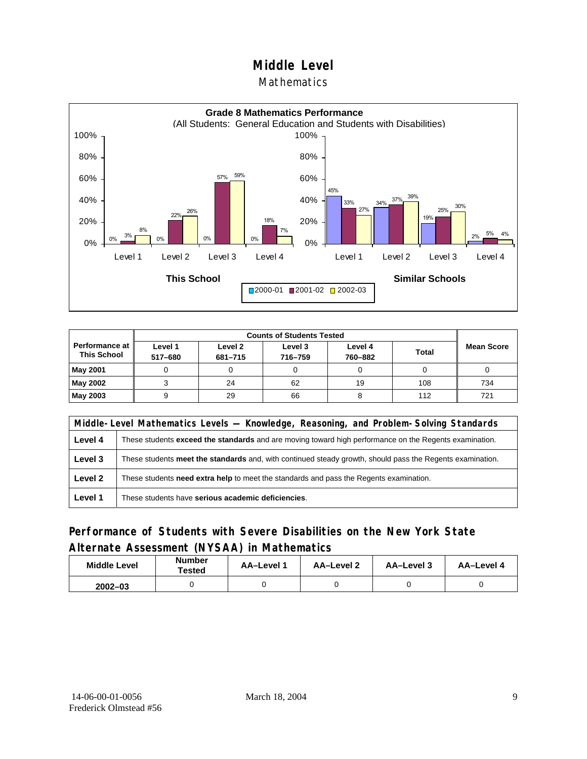### **Mathematics**



| <b>Counts of Students Tested</b>     |                    |                    |                    |                    |              |                   |  |
|--------------------------------------|--------------------|--------------------|--------------------|--------------------|--------------|-------------------|--|
| Performance at<br><b>This School</b> | Level 1<br>517-680 | Level 2<br>681-715 | Level 3<br>716-759 | Level 4<br>760-882 | <b>Total</b> | <b>Mean Score</b> |  |
| May 2001                             |                    |                    |                    |                    |              |                   |  |
| May 2002                             |                    | 24                 | 62                 | 19                 | 108          | 734               |  |
| May 2003                             |                    | 29                 | 66                 |                    | 112          | 721               |  |

|         | Middle-Level Mathematics Levels — Knowledge, Reasoning, and Problem-Solving Standards                         |  |  |  |  |
|---------|---------------------------------------------------------------------------------------------------------------|--|--|--|--|
| Level 4 | These students <b>exceed the standards</b> and are moving toward high performance on the Regents examination. |  |  |  |  |
| Level 3 | These students meet the standards and, with continued steady growth, should pass the Regents examination.     |  |  |  |  |
| Level 2 | These students <b>need extra help</b> to meet the standards and pass the Regents examination.                 |  |  |  |  |
| Level 1 | These students have serious academic deficiencies.                                                            |  |  |  |  |

### **Performance of Students with Severe Disabilities on the New York State Alternate Assessment (NYSAA) in Mathematics**

| <b>Middle Level</b> | <b>Number</b><br>Tested | <b>AA–Level</b> 1 | AA-Level 2 | AA-Level 3 | AA-Level 4 |
|---------------------|-------------------------|-------------------|------------|------------|------------|
| $2002 - 03$         |                         |                   |            |            |            |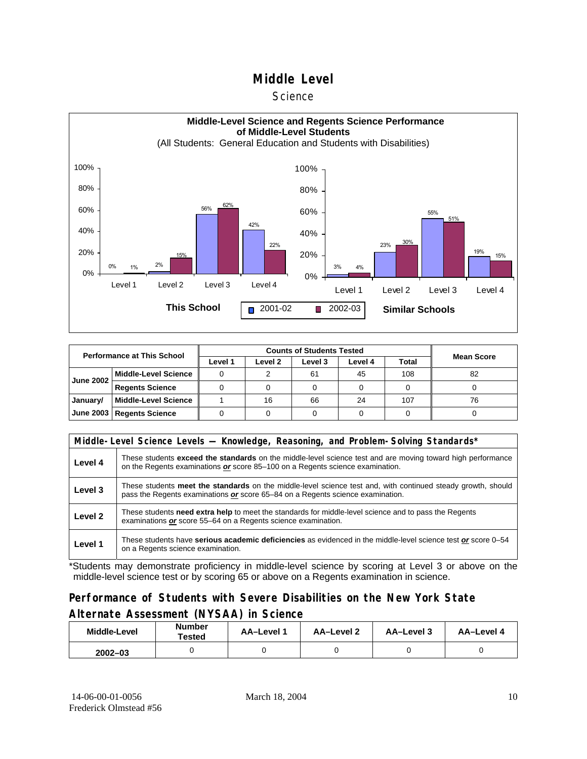#### **Science**



| <b>Performance at This School</b> |                        |         |         |          |         |       |                   |
|-----------------------------------|------------------------|---------|---------|----------|---------|-------|-------------------|
|                                   |                        | Level 1 | Level 2 | Level 3  | Level 4 | Total | <b>Mean Score</b> |
| <b>June 2002</b>                  | l Middle-Level Science |         |         | 45<br>61 |         | 108   | 82                |
|                                   | <b>Regents Science</b> |         |         |          |         |       |                   |
| January/                          | Middle-Level Science   |         | 16      | 66       | 24      | 107   | 76                |
| June 2003   Regents Science       |                        |         |         |          |         |       |                   |

| Middle-Level Science Levels — Knowledge, Reasoning, and Problem-Solving Standards* |                                                                                                                                                                                                     |  |  |  |  |  |
|------------------------------------------------------------------------------------|-----------------------------------------------------------------------------------------------------------------------------------------------------------------------------------------------------|--|--|--|--|--|
| Level 4                                                                            | These students <b>exceed the standards</b> on the middle-level science test and are moving toward high performance<br>on the Regents examinations or score 85–100 on a Regents science examination. |  |  |  |  |  |
| Level 3                                                                            | These students meet the standards on the middle-level science test and, with continued steady growth, should<br>pass the Regents examinations or score 65–84 on a Regents science examination.      |  |  |  |  |  |
| Level 2                                                                            | These students need extra help to meet the standards for middle-level science and to pass the Regents<br>examinations or score 55–64 on a Regents science examination.                              |  |  |  |  |  |
| Level 1                                                                            | These students have serious academic deficiencies as evidenced in the middle-level science test or score 0–54<br>on a Regents science examination.                                                  |  |  |  |  |  |

\*Students may demonstrate proficiency in middle-level science by scoring at Level 3 or above on the middle-level science test or by scoring 65 or above on a Regents examination in science.

### **Performance of Students with Severe Disabilities on the New York State Alternate Assessment (NYSAA) in Science**

| Middle-Level | <b>Number</b><br>Tested | AA-Level 1 | AA-Level 2 | AA-Level 3 | AA-Level 4 |  |
|--------------|-------------------------|------------|------------|------------|------------|--|
| $2002 - 03$  |                         |            |            |            |            |  |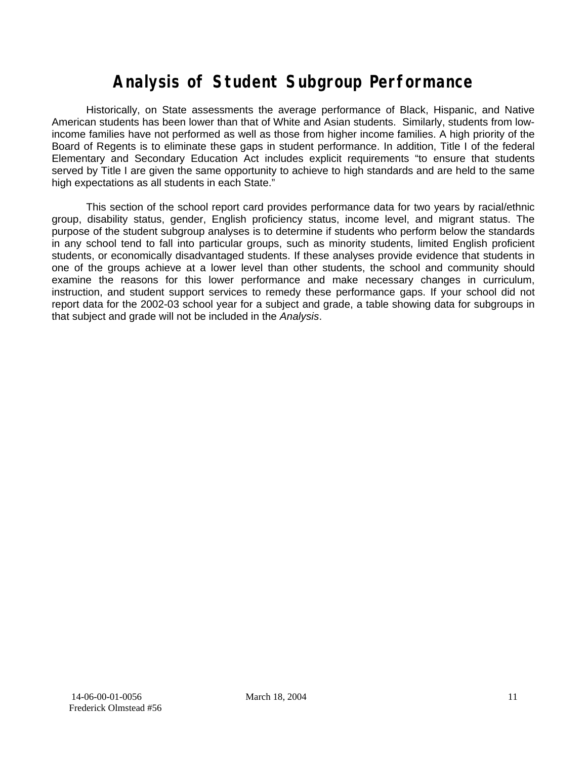# **Analysis of Student Subgroup Performance**

Historically, on State assessments the average performance of Black, Hispanic, and Native American students has been lower than that of White and Asian students. Similarly, students from lowincome families have not performed as well as those from higher income families. A high priority of the Board of Regents is to eliminate these gaps in student performance. In addition, Title I of the federal Elementary and Secondary Education Act includes explicit requirements "to ensure that students served by Title I are given the same opportunity to achieve to high standards and are held to the same high expectations as all students in each State."

This section of the school report card provides performance data for two years by racial/ethnic group, disability status, gender, English proficiency status, income level, and migrant status. The purpose of the student subgroup analyses is to determine if students who perform below the standards in any school tend to fall into particular groups, such as minority students, limited English proficient students, or economically disadvantaged students. If these analyses provide evidence that students in one of the groups achieve at a lower level than other students, the school and community should examine the reasons for this lower performance and make necessary changes in curriculum, instruction, and student support services to remedy these performance gaps. If your school did not report data for the 2002-03 school year for a subject and grade, a table showing data for subgroups in that subject and grade will not be included in the *Analysis*.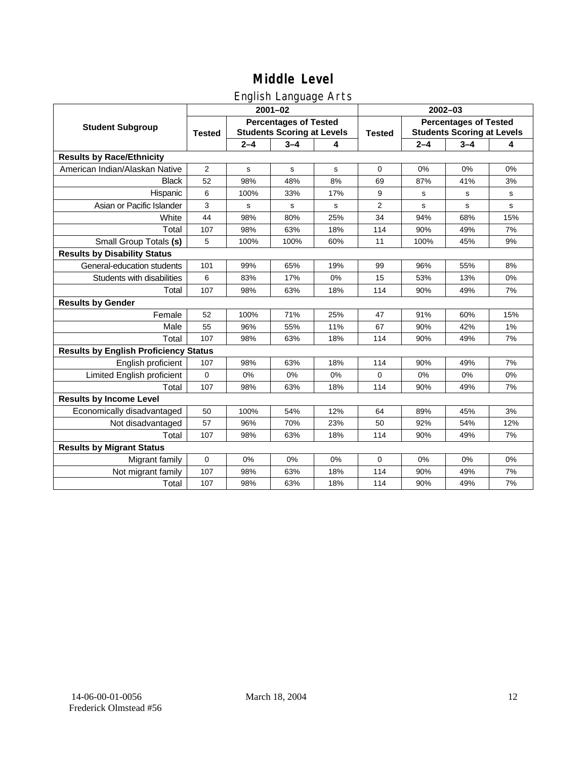# English Language Arts

|                                              |                |             | ັ<br>$2001 - 02$                                                  |     | 2002-03        |                                                                   |         |     |  |
|----------------------------------------------|----------------|-------------|-------------------------------------------------------------------|-----|----------------|-------------------------------------------------------------------|---------|-----|--|
| <b>Student Subgroup</b>                      | <b>Tested</b>  |             | <b>Percentages of Tested</b><br><b>Students Scoring at Levels</b> |     | <b>Tested</b>  | <b>Percentages of Tested</b><br><b>Students Scoring at Levels</b> |         |     |  |
|                                              |                | $2 - 4$     | $3 - 4$                                                           | 4   |                | $2 - 4$                                                           | $3 - 4$ | 4   |  |
| <b>Results by Race/Ethnicity</b>             |                |             |                                                                   |     |                |                                                                   |         |     |  |
| American Indian/Alaskan Native               | $\overline{2}$ | $\mathbf s$ | $\mathbf s$                                                       | s   | $\mathbf 0$    | 0%                                                                | 0%      | 0%  |  |
| <b>Black</b>                                 | 52             | 98%         | 48%                                                               | 8%  | 69             | 87%                                                               | 41%     | 3%  |  |
| Hispanic                                     | 6              | 100%        | 33%                                                               | 17% | 9              | s                                                                 | s       | s   |  |
| Asian or Pacific Islander                    | 3              | s           | s                                                                 | s   | $\overline{2}$ | s                                                                 | s       | s   |  |
| White                                        | 44             | 98%         | 80%                                                               | 25% | 34             | 94%                                                               | 68%     | 15% |  |
| Total                                        | 107            | 98%         | 63%                                                               | 18% | 114            | 90%                                                               | 49%     | 7%  |  |
| Small Group Totals (s)                       | 5              | 100%        | 100%                                                              | 60% | 11             | 100%                                                              | 45%     | 9%  |  |
| <b>Results by Disability Status</b>          |                |             |                                                                   |     |                |                                                                   |         |     |  |
| General-education students                   | 101            | 99%         | 65%                                                               | 19% | 99             | 96%                                                               | 55%     | 8%  |  |
| Students with disabilities                   | 6              | 83%         | 17%                                                               | 0%  | 15             | 53%                                                               | 13%     | 0%  |  |
| Total                                        | 107            | 98%         | 63%                                                               | 18% | 114            | 90%                                                               | 49%     | 7%  |  |
| <b>Results by Gender</b>                     |                |             |                                                                   |     |                |                                                                   |         |     |  |
| Female                                       | 52             | 100%        | 71%                                                               | 25% | 47             | 91%                                                               | 60%     | 15% |  |
| Male                                         | 55             | 96%         | 55%                                                               | 11% | 67             | 90%                                                               | 42%     | 1%  |  |
| Total                                        | 107            | 98%         | 63%                                                               | 18% | 114            | 90%                                                               | 49%     | 7%  |  |
| <b>Results by English Proficiency Status</b> |                |             |                                                                   |     |                |                                                                   |         |     |  |
| English proficient                           | 107            | 98%         | 63%                                                               | 18% | 114            | 90%                                                               | 49%     | 7%  |  |
| Limited English proficient                   | $\mathbf 0$    | 0%          | 0%                                                                | 0%  | $\Omega$       | 0%                                                                | 0%      | 0%  |  |
| Total                                        | 107            | 98%         | 63%                                                               | 18% | 114            | 90%                                                               | 49%     | 7%  |  |
| <b>Results by Income Level</b>               |                |             |                                                                   |     |                |                                                                   |         |     |  |
| Economically disadvantaged                   | 50             | 100%        | 54%                                                               | 12% | 64             | 89%                                                               | 45%     | 3%  |  |
| Not disadvantaged                            | 57             | 96%         | 70%                                                               | 23% | 50             | 92%                                                               | 54%     | 12% |  |
| Total                                        | 107            | 98%         | 63%                                                               | 18% | 114            | 90%                                                               | 49%     | 7%  |  |
| <b>Results by Migrant Status</b>             |                |             |                                                                   |     |                |                                                                   |         |     |  |
| Migrant family                               | $\mathbf 0$    | 0%          | 0%                                                                | 0%  | 0              | 0%                                                                | 0%      | 0%  |  |
| Not migrant family                           | 107            | 98%         | 63%                                                               | 18% | 114            | 90%                                                               | 49%     | 7%  |  |
| Total                                        | 107            | 98%         | 63%                                                               | 18% | 114            | 90%                                                               | 49%     | 7%  |  |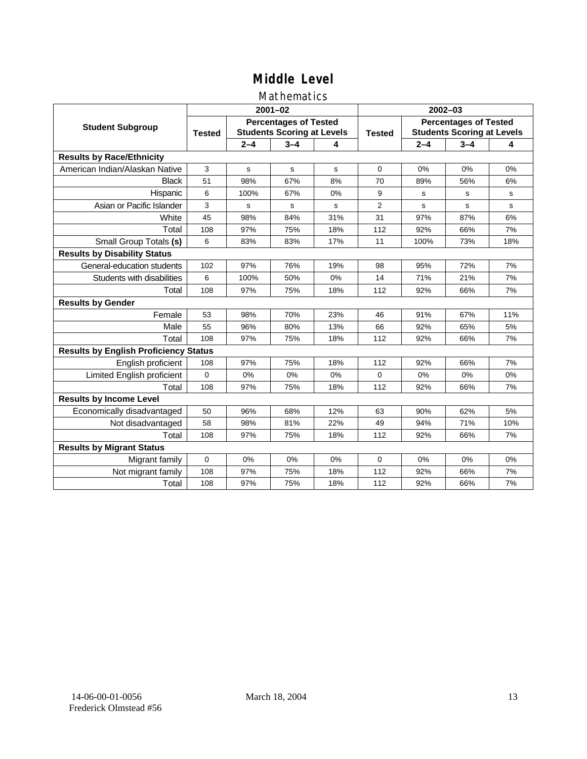### Mathematics

|                                              |               |         | $2001 - 02$                                                       |     | $2002 - 03$    |                                                                   |         |     |  |
|----------------------------------------------|---------------|---------|-------------------------------------------------------------------|-----|----------------|-------------------------------------------------------------------|---------|-----|--|
| <b>Student Subgroup</b>                      | <b>Tested</b> |         | <b>Percentages of Tested</b><br><b>Students Scoring at Levels</b> |     | <b>Tested</b>  | <b>Percentages of Tested</b><br><b>Students Scoring at Levels</b> |         |     |  |
|                                              |               | $2 - 4$ | $3 - 4$                                                           | 4   |                | $2 - 4$                                                           | $3 - 4$ | 4   |  |
| <b>Results by Race/Ethnicity</b>             |               |         |                                                                   |     |                |                                                                   |         |     |  |
| American Indian/Alaskan Native               | 3             | s       | s                                                                 | s   | $\Omega$       | 0%                                                                | 0%      | 0%  |  |
| <b>Black</b>                                 | 51            | 98%     | 67%                                                               | 8%  | 70             | 89%                                                               | 56%     | 6%  |  |
| Hispanic                                     | 6             | 100%    | 67%                                                               | 0%  | 9              | s                                                                 | s       | s   |  |
| Asian or Pacific Islander                    | 3             | s       | s                                                                 | s   | $\overline{2}$ | s                                                                 | s       | s   |  |
| White                                        | 45            | 98%     | 84%                                                               | 31% | 31             | 97%                                                               | 87%     | 6%  |  |
| Total                                        | 108           | 97%     | 75%                                                               | 18% | 112            | 92%                                                               | 66%     | 7%  |  |
| Small Group Totals (s)                       | 6             | 83%     | 83%                                                               | 17% | 11             | 100%                                                              | 73%     | 18% |  |
| <b>Results by Disability Status</b>          |               |         |                                                                   |     |                |                                                                   |         |     |  |
| General-education students                   | 102           | 97%     | 76%                                                               | 19% | 98             | 95%                                                               | 72%     | 7%  |  |
| Students with disabilities                   | 6             | 100%    | 50%                                                               | 0%  | 14             | 71%                                                               | 21%     | 7%  |  |
| Total                                        | 108           | 97%     | 75%                                                               | 18% | 112            | 92%                                                               | 66%     | 7%  |  |
| <b>Results by Gender</b>                     |               |         |                                                                   |     |                |                                                                   |         |     |  |
| Female                                       | 53            | 98%     | 70%                                                               | 23% | 46             | 91%                                                               | 67%     | 11% |  |
| Male                                         | 55            | 96%     | 80%                                                               | 13% | 66             | 92%                                                               | 65%     | 5%  |  |
| Total                                        | 108           | 97%     | 75%                                                               | 18% | 112            | 92%                                                               | 66%     | 7%  |  |
| <b>Results by English Proficiency Status</b> |               |         |                                                                   |     |                |                                                                   |         |     |  |
| English proficient                           | 108           | 97%     | 75%                                                               | 18% | 112            | 92%                                                               | 66%     | 7%  |  |
| Limited English proficient                   | 0             | 0%      | 0%                                                                | 0%  | $\Omega$       | 0%                                                                | 0%      | 0%  |  |
| Total                                        | 108           | 97%     | 75%                                                               | 18% | 112            | 92%                                                               | 66%     | 7%  |  |
| <b>Results by Income Level</b>               |               |         |                                                                   |     |                |                                                                   |         |     |  |
| Economically disadvantaged                   | 50            | 96%     | 68%                                                               | 12% | 63             | 90%                                                               | 62%     | 5%  |  |
| Not disadvantaged                            | 58            | 98%     | 81%                                                               | 22% | 49             | 94%                                                               | 71%     | 10% |  |
| Total                                        | 108           | 97%     | 75%                                                               | 18% | 112            | 92%                                                               | 66%     | 7%  |  |
| <b>Results by Migrant Status</b>             |               |         |                                                                   |     |                |                                                                   |         |     |  |
| Migrant family                               | 0             | 0%      | 0%                                                                | 0%  | $\Omega$       | 0%                                                                | 0%      | 0%  |  |
| Not migrant family                           | 108           | 97%     | 75%                                                               | 18% | 112            | 92%                                                               | 66%     | 7%  |  |
| Total                                        | 108           | 97%     | 75%                                                               | 18% | 112            | 92%                                                               | 66%     | 7%  |  |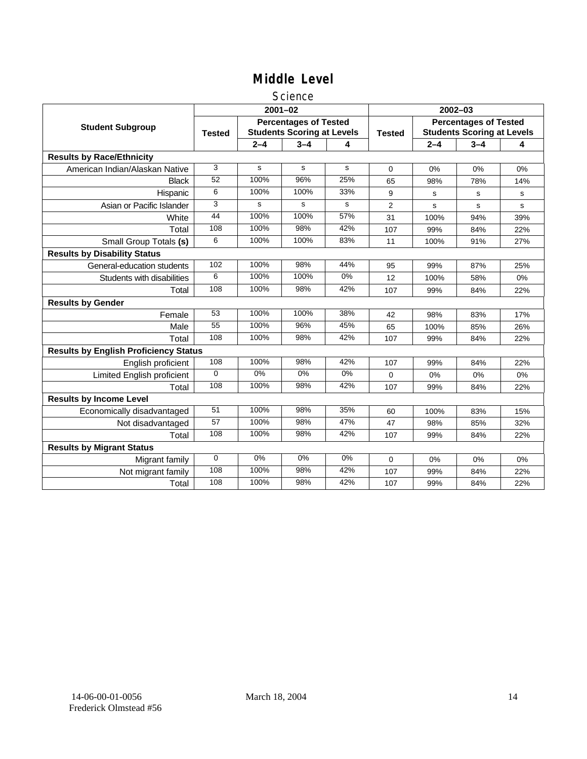### **Science**

|                                              |               |         | $2001 - 02$                                                       |       | $2002 - 03$    |                                                                   |         |     |
|----------------------------------------------|---------------|---------|-------------------------------------------------------------------|-------|----------------|-------------------------------------------------------------------|---------|-----|
| <b>Student Subgroup</b>                      | <b>Tested</b> |         | <b>Percentages of Tested</b><br><b>Students Scoring at Levels</b> |       | <b>Tested</b>  | <b>Percentages of Tested</b><br><b>Students Scoring at Levels</b> |         |     |
|                                              |               | $2 - 4$ | $3 - 4$                                                           | 4     |                | $2 - 4$                                                           | $3 - 4$ | 4   |
| <b>Results by Race/Ethnicity</b>             |               |         |                                                                   |       |                |                                                                   |         |     |
| American Indian/Alaskan Native               | 3             | s       | s                                                                 | s     | $\mathbf 0$    | 0%                                                                | 0%      | 0%  |
| <b>Black</b>                                 | 52            | 100%    | 96%                                                               | 25%   | 65             | 98%                                                               | 78%     | 14% |
| Hispanic                                     | 6             | 100%    | 100%                                                              | 33%   | 9              | s                                                                 | s       | s   |
| Asian or Pacific Islander                    | 3             | s       | s                                                                 | s     | $\overline{2}$ | s                                                                 | s       | s   |
| White                                        | 44            | 100%    | 100%                                                              | 57%   | 31             | 100%                                                              | 94%     | 39% |
| Total                                        | 108           | 100%    | 98%                                                               | 42%   | 107            | 99%                                                               | 84%     | 22% |
| Small Group Totals (s)                       | 6             | 100%    | 100%                                                              | 83%   | 11             | 100%                                                              | 91%     | 27% |
| <b>Results by Disability Status</b>          |               |         |                                                                   |       |                |                                                                   |         |     |
| General-education students                   | 102           | 100%    | 98%                                                               | 44%   | 95             | 99%                                                               | 87%     | 25% |
| Students with disabilities                   | 6             | 100%    | 100%                                                              | 0%    | 12             | 100%                                                              | 58%     | 0%  |
| Total                                        | 108           | 100%    | 98%                                                               | 42%   | 107            | 99%                                                               | 84%     | 22% |
| <b>Results by Gender</b>                     |               |         |                                                                   |       |                |                                                                   |         |     |
| Female                                       | 53            | 100%    | 100%                                                              | 38%   | 42             | 98%                                                               | 83%     | 17% |
| Male                                         | 55            | 100%    | 96%                                                               | 45%   | 65             | 100%                                                              | 85%     | 26% |
| Total                                        | 108           | 100%    | 98%                                                               | 42%   | 107            | 99%                                                               | 84%     | 22% |
| <b>Results by English Proficiency Status</b> |               |         |                                                                   |       |                |                                                                   |         |     |
| English proficient                           | 108           | 100%    | 98%                                                               | 42%   | 107            | 99%                                                               | 84%     | 22% |
| Limited English proficient                   | $\Omega$      | $0\%$   | $0\%$                                                             | $0\%$ | 0              | 0%                                                                | 0%      | 0%  |
| Total                                        | 108           | 100%    | 98%                                                               | 42%   | 107            | 99%                                                               | 84%     | 22% |
| <b>Results by Income Level</b>               |               |         |                                                                   |       |                |                                                                   |         |     |
| Economically disadvantaged                   | 51            | 100%    | 98%                                                               | 35%   | 60             | 100%                                                              | 83%     | 15% |
| Not disadvantaged                            | 57            | 100%    | 98%                                                               | 47%   | 47             | 98%                                                               | 85%     | 32% |
| Total                                        | 108           | 100%    | 98%                                                               | 42%   | 107            | 99%                                                               | 84%     | 22% |
| <b>Results by Migrant Status</b>             |               |         |                                                                   |       |                |                                                                   |         |     |
| Migrant family                               | $\mathbf 0$   | 0%      | 0%                                                                | 0%    | 0              | 0%                                                                | 0%      | 0%  |
| Not migrant family                           | 108           | 100%    | 98%                                                               | 42%   | 107            | 99%                                                               | 84%     | 22% |
| Total                                        | 108           | 100%    | 98%                                                               | 42%   | 107            | 99%                                                               | 84%     | 22% |